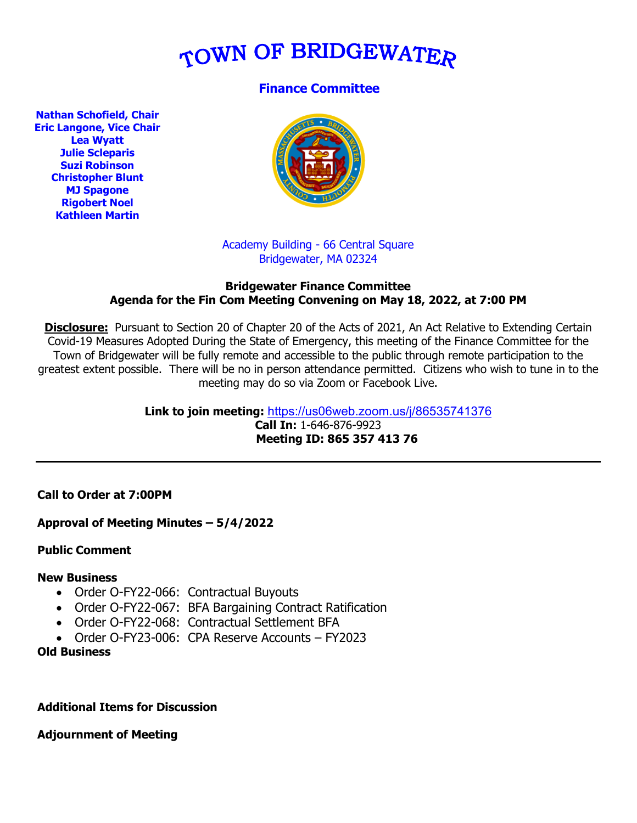# TOWN OF BRIDGEWATER

# **Finance Committee**

**Nathan Schofield, Chair Eric Langone, Vice Chair Lea Wyatt Julie Scleparis Suzi Robinson Christopher Blunt MJ Spagone Rigobert Noel Kathleen Martin**



## Academy Building - 66 Central Square Bridgewater, MA 02324

#### **Bridgewater Finance Committee Agenda for the Fin Com Meeting Convening on May 18, 2022, at 7:00 PM**

**Disclosure:** Pursuant to Section 20 of Chapter 20 of the Acts of 2021, An Act Relative to Extending Certain Covid-19 Measures Adopted During the State of Emergency, this meeting of the Finance Committee for the Town of Bridgewater will be fully remote and accessible to the public through remote participation to the greatest extent possible. There will be no in person attendance permitted. Citizens who wish to tune in to the meeting may do so via Zoom or Facebook Live.

> **Link to join meeting:** <https://us06web.zoom.us/j/86535741376> **Call In:** 1-646-876-9923  **Meeting ID: 865 357 413 76**

### **Call to Order at 7:00PM**

### **Approval of Meeting Minutes – 5/4/2022**

### **Public Comment**

### **New Business**

- Order O-FY22-066: Contractual Buyouts
- Order O-FY22-067: BFA Bargaining Contract Ratification
- Order O-FY22-068: Contractual Settlement BFA
- Order O-FY23-006: CPA Reserve Accounts FY2023

## **Old Business**

### **Additional Items for Discussion**

**Adjournment of Meeting**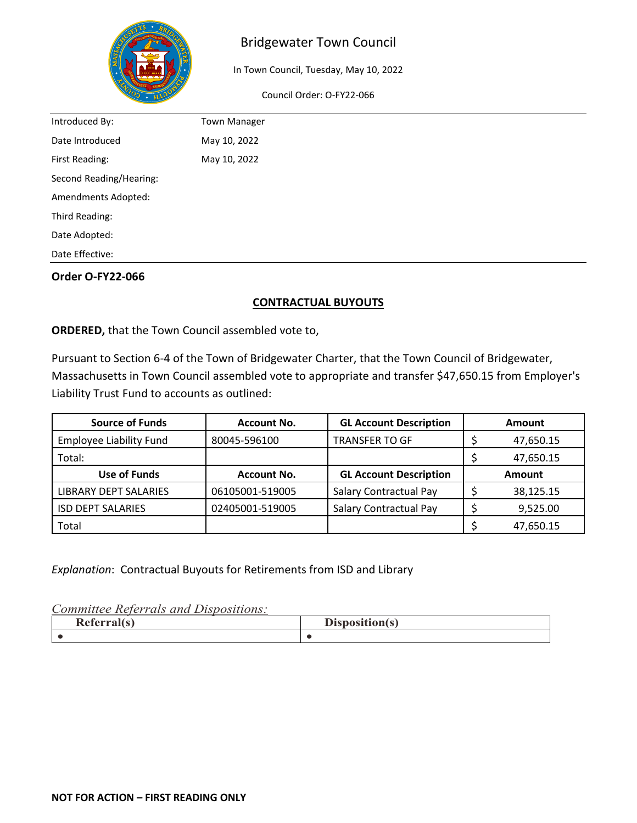

In Town Council, Tuesday, May 10, 2022

Council Order: O-FY22-066

| Introduced By:          | <b>Town Manager</b> |
|-------------------------|---------------------|
| Date Introduced         | May 10, 2022        |
| First Reading:          | May 10, 2022        |
| Second Reading/Hearing: |                     |
| Amendments Adopted:     |                     |
| Third Reading:          |                     |
| Date Adopted:           |                     |
| Date Effective:         |                     |

## **Order O-FY22-066**

## **CONTRACTUAL BUYOUTS**

**ORDERED,** that the Town Council assembled vote to,

Pursuant to Section 6-4 of the Town of Bridgewater Charter, that the Town Council of Bridgewater, Massachusetts in Town Council assembled vote to appropriate and transfer \$47,650.15 from Employer's Liability Trust Fund to accounts as outlined:

| <b>Source of Funds</b>         | <b>Account No.</b> | <b>GL Account Description</b> | Amount        |
|--------------------------------|--------------------|-------------------------------|---------------|
| <b>Employee Liability Fund</b> | 80045-596100       | <b>TRANSFER TO GF</b>         | 47,650.15     |
| Total:                         |                    |                               | 47,650.15     |
| Use of Funds                   | <b>Account No.</b> | <b>GL Account Description</b> | <b>Amount</b> |
| <b>LIBRARY DEPT SALARIES</b>   | 06105001-519005    | Salary Contractual Pay        | 38,125.15     |
| <b>ISD DEPT SALARIES</b>       | 02405001-519005    | Salary Contractual Pay        | 9,525.00      |
| Total                          |                    |                               | 47,650.15     |

*Explanation*: Contractual Buyouts for Retirements from ISD and Library

| $\sqrt{2}$<br><br>∽.<br>$\sim$<br>Referrance | $\mathbf{r}$<br>Disposition(s) |
|----------------------------------------------|--------------------------------|
|                                              |                                |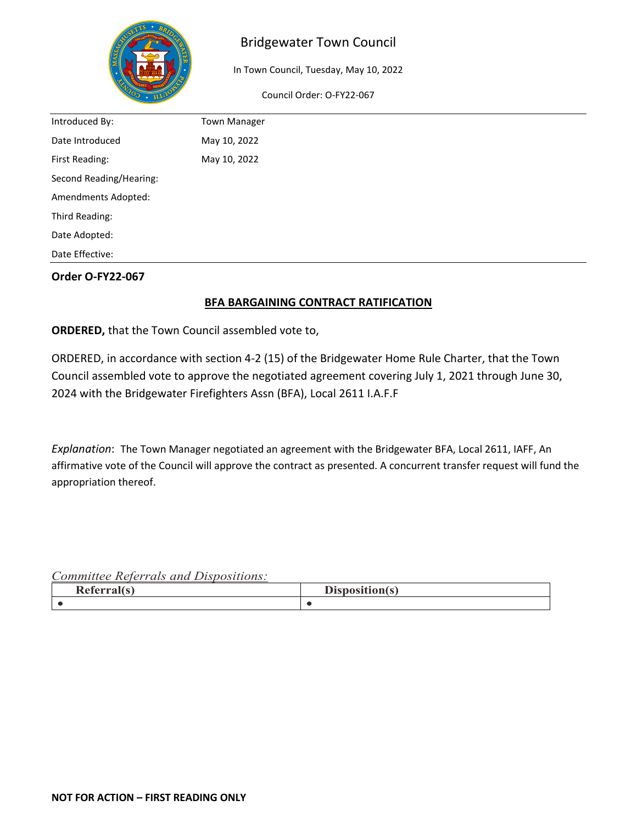

In Town Council, Tuesday, May 10, 2022

Council Order: O-FY22-067

| Introduced By:          | <b>Town Manager</b> |
|-------------------------|---------------------|
| Date Introduced         | May 10, 2022        |
| First Reading:          | May 10, 2022        |
| Second Reading/Hearing: |                     |
| Amendments Adopted:     |                     |
| Third Reading:          |                     |
| Date Adopted:           |                     |
| Date Effective:         |                     |

# **Order O-FY22-067**

# **BFA BARGAINING CONTRACT RATIFICATION**

**ORDERED,** that the Town Council assembled vote to,

ORDERED, in accordance with section 4-2 (15) of the Bridgewater Home Rule Charter, that the Town Council assembled vote to approve the negotiated agreement covering July 1, 2021 through June 30, 2024 with the Bridgewater Firefighters Assn (BFA), Local 2611 I.A.F.F

*Explanation*: The Town Manager negotiated an agreement with the Bridgewater BFA, Local 2611, IAFF, An affirmative vote of the Council will approve the contract as presented. A concurrent transfer request will fund the appropriation thereof.

| $\sqrt{2}$<br>D<br><b>Referral</b> | T.<br>$\mathbb{R}$ and $\mathbb{R}$<br>$\sim$<br>$- -$<br><b>DIS</b><br>$\sim$ |
|------------------------------------|--------------------------------------------------------------------------------|
|                                    |                                                                                |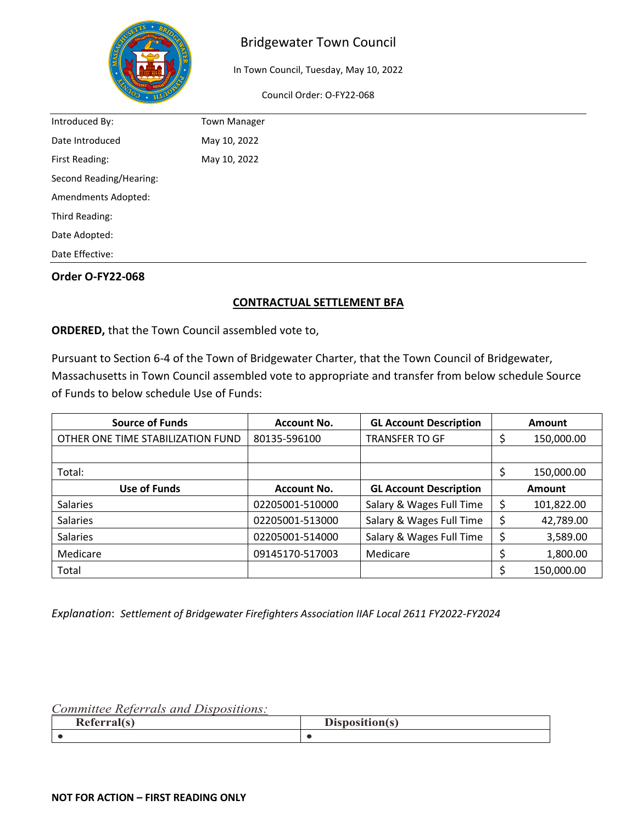

In Town Council, Tuesday, May 10, 2022

Council Order: O-FY22-068

| Introduced By:          | <b>Town Manager</b> |
|-------------------------|---------------------|
| Date Introduced         | May 10, 2022        |
| First Reading:          | May 10, 2022        |
| Second Reading/Hearing: |                     |
| Amendments Adopted:     |                     |
| Third Reading:          |                     |
| Date Adopted:           |                     |
| Date Effective:         |                     |

### **Order O-FY22-068**

## **CONTRACTUAL SETTLEMENT BFA**

**ORDERED,** that the Town Council assembled vote to,

Pursuant to Section 6-4 of the Town of Bridgewater Charter, that the Town Council of Bridgewater, Massachusetts in Town Council assembled vote to appropriate and transfer from below schedule Source of Funds to below schedule Use of Funds:

| <b>Source of Funds</b>            | <b>Account No.</b> | <b>GL Account Description</b> | Amount     |
|-----------------------------------|--------------------|-------------------------------|------------|
| OTHER ONE TIME STABILIZATION FUND | 80135-596100       | <b>TRANSFER TO GF</b>         | 150,000.00 |
|                                   |                    |                               |            |
| Total:                            |                    |                               | 150,000.00 |
| Use of Funds                      | <b>Account No.</b> | <b>GL Account Description</b> | Amount     |
| <b>Salaries</b>                   | 02205001-510000    | Salary & Wages Full Time      | 101,822.00 |
| <b>Salaries</b>                   | 02205001-513000    | Salary & Wages Full Time      | 42,789.00  |
| <b>Salaries</b>                   | 02205001-514000    | Salary & Wages Full Time      | 3,589.00   |
| Medicare                          | 09145170-517003    | Medicare                      | 1,800.00   |
| Total                             |                    |                               | 150,000.00 |

*Explanation*: *Settlement of Bridgewater Firefighters Association IIAF Local 2611 FY2022-FY2024*

| $\sqrt{2}$<br>$\blacksquare$<br>$-$<br><br>ъ.<br>- 1<br>---<br>$\cdot\cdot\cdot$ | $\sim$<br>-----<br>$\sim$<br>$-$<br><b>DR</b> |
|----------------------------------------------------------------------------------|-----------------------------------------------|
|                                                                                  |                                               |